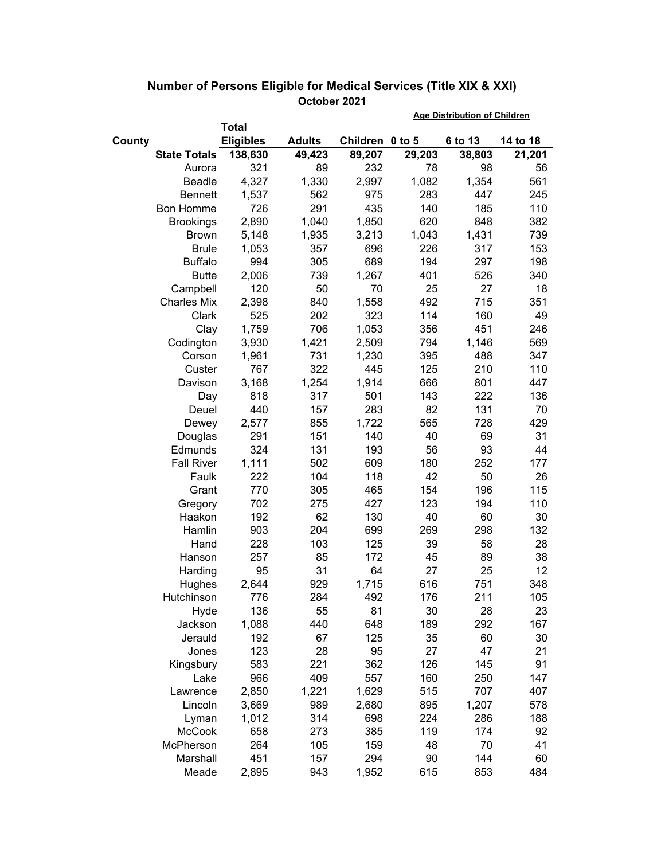|                     |                  |               | <b>Age Distribution of Children</b> |        |         |          |
|---------------------|------------------|---------------|-------------------------------------|--------|---------|----------|
|                     | <b>Total</b>     |               |                                     |        |         |          |
| County              | <b>Eligibles</b> | <b>Adults</b> | Children 0 to 5                     |        | 6 to 13 | 14 to 18 |
| <b>State Totals</b> | 138,630          | 49,423        | 89,207                              | 29,203 | 38,803  | 21,201   |
| Aurora              | 321              | 89            | 232                                 | 78     | 98      | 56       |
| Beadle              | 4,327            | 1,330         | 2,997                               | 1,082  | 1,354   | 561      |
| <b>Bennett</b>      | 1,537            | 562           | 975                                 | 283    | 447     | 245      |
| <b>Bon Homme</b>    | 726              | 291           | 435                                 | 140    | 185     | 110      |
| <b>Brookings</b>    | 2,890            | 1,040         | 1,850                               | 620    | 848     | 382      |
| <b>Brown</b>        | 5,148            | 1,935         | 3,213                               | 1,043  | 1,431   | 739      |
| <b>Brule</b>        | 1,053            | 357           | 696                                 | 226    | 317     | 153      |
| <b>Buffalo</b>      | 994              | 305           | 689                                 | 194    | 297     | 198      |
| <b>Butte</b>        | 2,006            | 739           | 1,267                               | 401    | 526     | 340      |
| Campbell            | 120              | 50            | 70                                  | 25     | 27      | 18       |
| <b>Charles Mix</b>  | 2,398            | 840           | 1,558                               | 492    | 715     | 351      |
| Clark               | 525              | 202           | 323                                 | 114    | 160     | 49       |
| Clay                | 1,759            | 706           | 1,053                               | 356    | 451     | 246      |
| Codington           | 3,930            | 1,421         | 2,509                               | 794    | 1,146   | 569      |
| Corson              | 1,961            | 731           | 1,230                               | 395    | 488     | 347      |
| Custer              | 767              | 322           | 445                                 | 125    | 210     | 110      |
| Davison             | 3,168            | 1,254         | 1,914                               | 666    | 801     | 447      |
| Day                 | 818              | 317           | 501                                 | 143    | 222     | 136      |
| Deuel               | 440              | 157           | 283                                 | 82     | 131     | 70       |
| Dewey               | 2,577            | 855           | 1,722                               | 565    | 728     | 429      |
| Douglas             | 291              | 151           | 140                                 | 40     | 69      | 31       |
| Edmunds             | 324              | 131           | 193                                 | 56     | 93      | 44       |
| <b>Fall River</b>   | 1,111            | 502           | 609                                 | 180    | 252     | 177      |
| Faulk               | 222              | 104           | 118                                 | 42     | 50      | 26       |
| Grant               | 770              | 305           | 465                                 | 154    | 196     | 115      |
| Gregory             | 702              | 275           | 427                                 | 123    | 194     | 110      |
| Haakon              | 192              | 62            | 130                                 | 40     | 60      | 30       |
| Hamlin              | 903              | 204           | 699                                 | 269    | 298     | 132      |
| Hand                | 228              | 103           | 125                                 | 39     | 58      | 28       |
| Hanson              | 257              | 85            | 172                                 | 45     | 89      | 38       |
| Harding             | 95               | 31            | 64                                  | 27     | 25      | 12       |
| Hughes              | 2,644            | 929           | 1,715                               | 616    | 751     | 348      |
| Hutchinson          | 776              | 284           | 492                                 | 176    | 211     | 105      |
| Hyde                | 136              | 55            | 81                                  | 30     | 28      | 23       |
| Jackson             | 1,088            | 440           | 648                                 | 189    | 292     | 167      |
| Jerauld             | 192              | 67            | 125                                 | 35     | 60      | 30       |
| Jones               | 123              | 28            | 95                                  | 27     | 47      | 21       |
| Kingsbury           | 583              | 221           | 362                                 | 126    | 145     | 91       |
| Lake                | 966              | 409           | 557                                 | 160    | 250     | 147      |
| Lawrence            | 2,850            | 1,221         | 1,629                               | 515    | 707     | 407      |
| Lincoln             | 3,669            | 989           | 2,680                               | 895    | 1,207   | 578      |
| Lyman               | 1,012            | 314           | 698                                 | 224    | 286     | 188      |
| <b>McCook</b>       | 658              | 273           | 385                                 | 119    | 174     | 92       |
| McPherson           | 264              | 105           | 159                                 | 48     | 70      | 41       |
| Marshall            | 451              | 157           | 294                                 | 90     | 144     | 60       |
| Meade               | 2,895            | 943           | 1,952                               | 615    | 853     | 484      |

## **Number of Persons Eligible for Medical Services (Title XIX & XXI) October 2021**